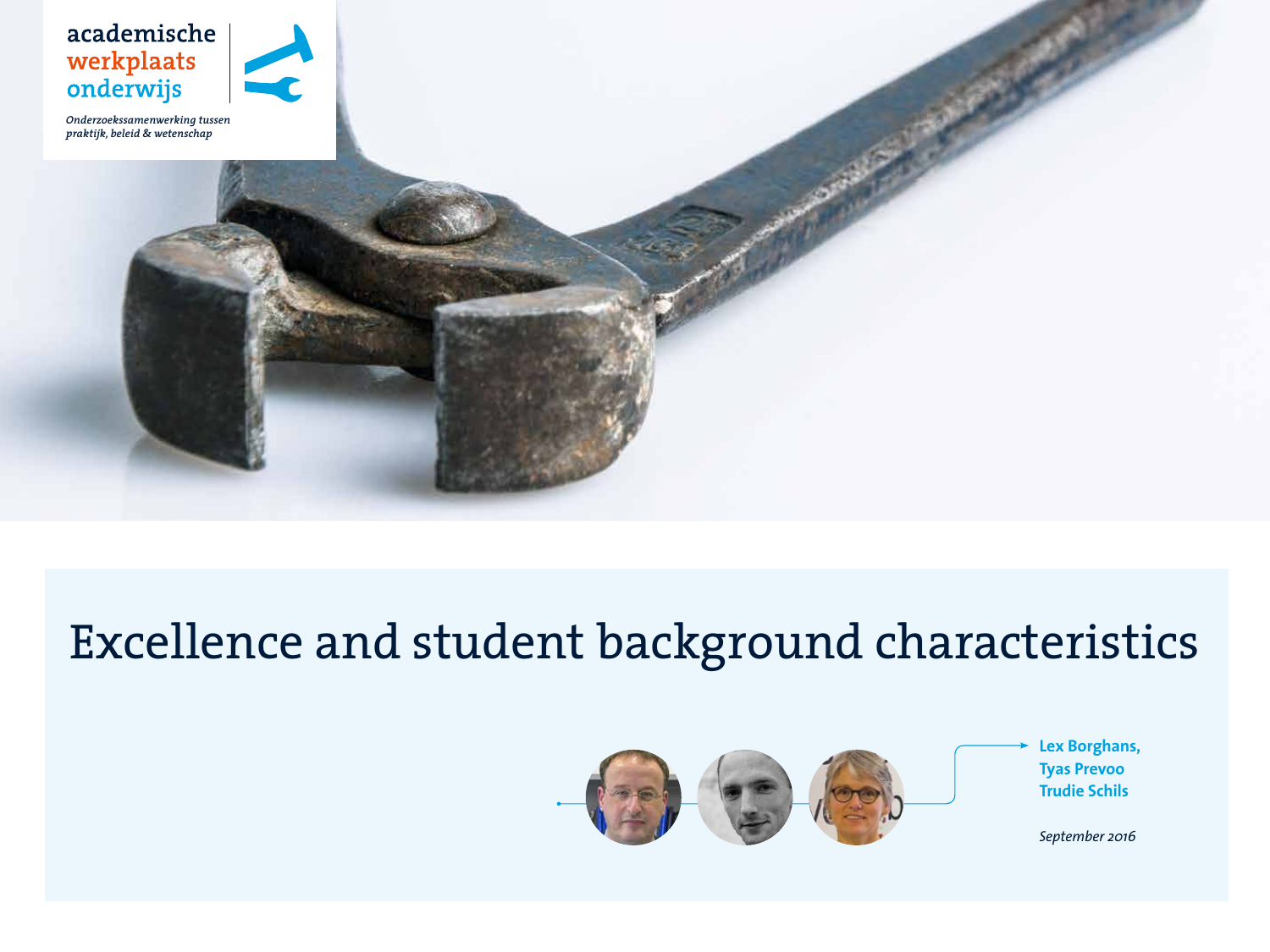

*Onderzoekssamenwerking tussen praktijk, beleid & wetenschap* 

# Excellence and student background characteristics



**Lex Borghans, Tyas Prevoo Trudie Schils**

*September 2016*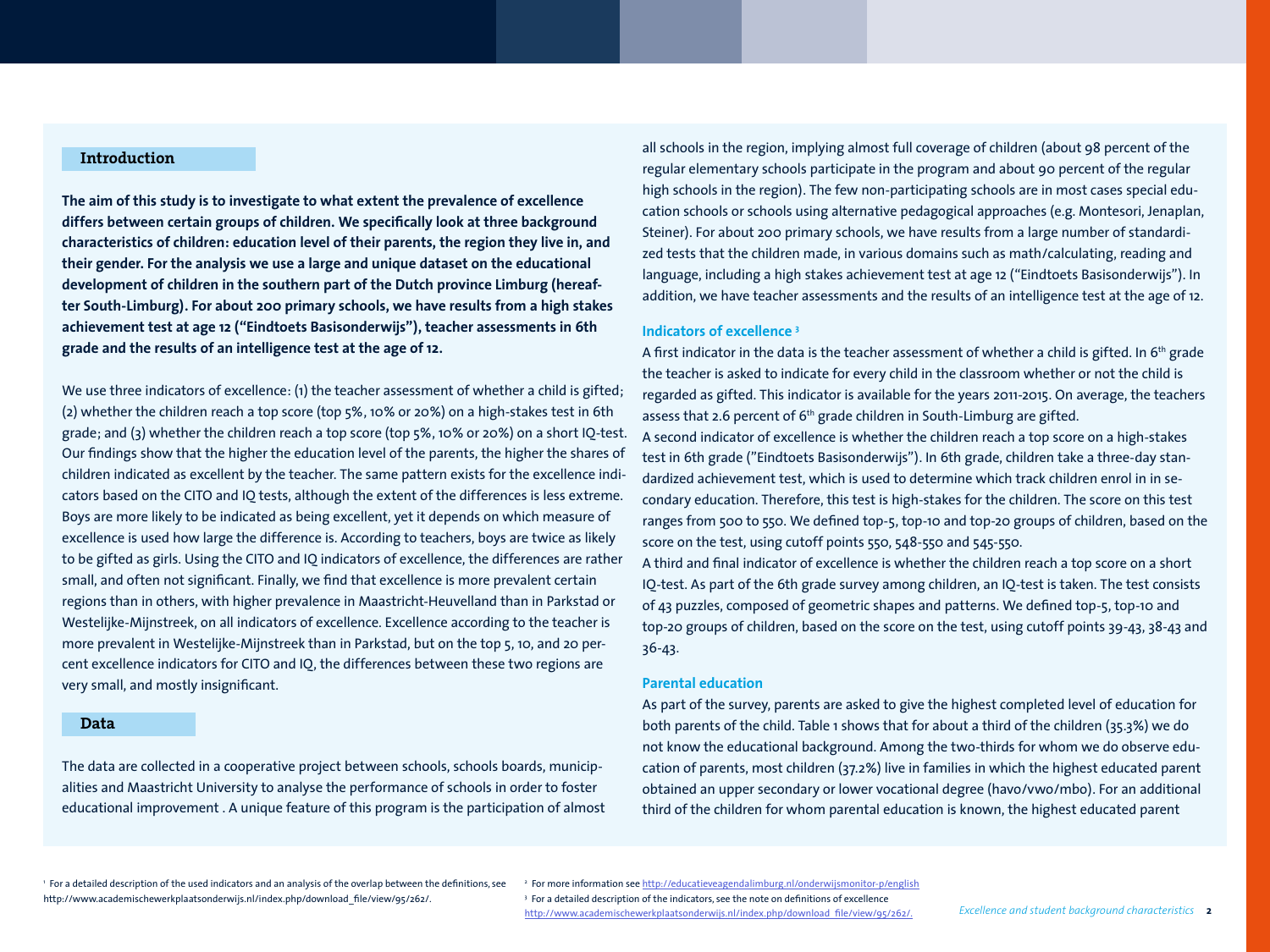## **Introduction**

**The aim of this study is to investigate to what extent the prevalence of excellence differs between certain groups of children. We specifically look at three background characteristics of children: education level of their parents, the region they live in, and their gender. For the analysis we use a large and unique dataset on the educational development of children in the southern part of the Dutch province Limburg (hereafter South-Limburg). For about 200 primary schools, we have results from a high stakes achievement test at age 12 ("Eindtoets Basisonderwijs"), teacher assessments in 6th grade and the results of an intelligence test at the age of 12.** 

We use three indicators of excellence: (1) the teacher assessment of whether a child is gifted; (2) whether the children reach a top score (top 5%, 10% or 20%) on a high-stakes test in 6th grade; and (3) whether the children reach a top score (top 5%, 10% or 20%) on a short IQ-test. Our findings show that the higher the education level of the parents, the higher the shares of children indicated as excellent by the teacher. The same pattern exists for the excellence indicators based on the CITO and IQ tests, although the extent of the differences is less extreme. Boys are more likely to be indicated as being excellent, yet it depends on which measure of excellence is used how large the difference is. According to teachers, boys are twice as likely to be gifted as girls. Using the CITO and IQ indicators of excellence, the differences are rather small, and often not significant. Finally, we find that excellence is more prevalent certain regions than in others, with higher prevalence in Maastricht-Heuvelland than in Parkstad or Westelijke-Mijnstreek, on all indicators of excellence. Excellence according to the teacher is more prevalent in Westelijke-Mijnstreek than in Parkstad, but on the top 5, 10, and 20 percent excellence indicators for CITO and IQ, the differences between these two regions are very small, and mostly insignificant.

#### **Data**

The data are collected in a cooperative project between schools, schools boards, municipalities and Maastricht University to analyse the performance of schools in order to foster educational improvement . A unique feature of this program is the participation of almost

all schools in the region, implying almost full coverage of children (about 98 percent of the regular elementary schools participate in the program and about 90 percent of the regular high schools in the region). The few non-participating schools are in most cases special education schools or schools using alternative pedagogical approaches (e.g. Montesori, Jenaplan, Steiner). For about 200 primary schools, we have results from a large number of standardized tests that the children made, in various domains such as math/calculating, reading and language, including a high stakes achievement test at age 12 ("Eindtoets Basisonderwijs"). In addition, we have teacher assessments and the results of an intelligence test at the age of 12.

## **Indicators of excellence 3**

A first indicator in the data is the teacher assessment of whether a child is gifted. In 6<sup>th</sup> grade the teacher is asked to indicate for every child in the classroom whether or not the child is regarded as gifted. This indicator is available for the years 2011-2015. On average, the teachers assess that 2.6 percent of 6<sup>th</sup> grade children in South-Limburg are gifted. A second indicator of excellence is whether the children reach a top score on a high-stakes test in 6th grade ("Eindtoets Basisonderwijs"). In 6th grade, children take a three-day standardized achievement test, which is used to determine which track children enrol in in secondary education. Therefore, this test is high-stakes for the children. The score on this test ranges from 500 to 550. We defined top-5, top-10 and top-20 groups of children, based on the score on the test, using cutoff points 550, 548-550 and 545-550.

A third and final indicator of excellence is whether the children reach a top score on a short IQ-test. As part of the 6th grade survey among children, an IQ-test is taken. The test consists of 43 puzzles, composed of geometric shapes and patterns. We defined top-5, top-10 and top-20 groups of children, based on the score on the test, using cutoff points 39-43, 38-43 and 36-43.

#### **Parental education**

As part of the survey, parents are asked to give the highest completed level of education for both parents of the child. Table 1 shows that for about a third of the children (35.3%) we do not know the educational background. Among the two-thirds for whom we do observe education of parents, most children (37.2%) live in families in which the highest educated parent obtained an upper secondary or lower vocational degree (havo/vwo/mbo). For an additional third of the children for whom parental education is known, the highest educated parent

1 For a detailed description of the used indicators and an analysis of the overlap between the definitions, see http://www.academischewerkplaatsonderwijs.nl/index.php/download\_file/view/95/262/.

<sup>2</sup> For more information see <u>http://educatieveagendalimburg.nl/onderwijsmonitor-p/english</u> 3 For a detailed description of the indicators, see the note on definitions of excellence http://www.academischewerkplaatsonderwijs.nl/index.php/download\_file/view/95/262/.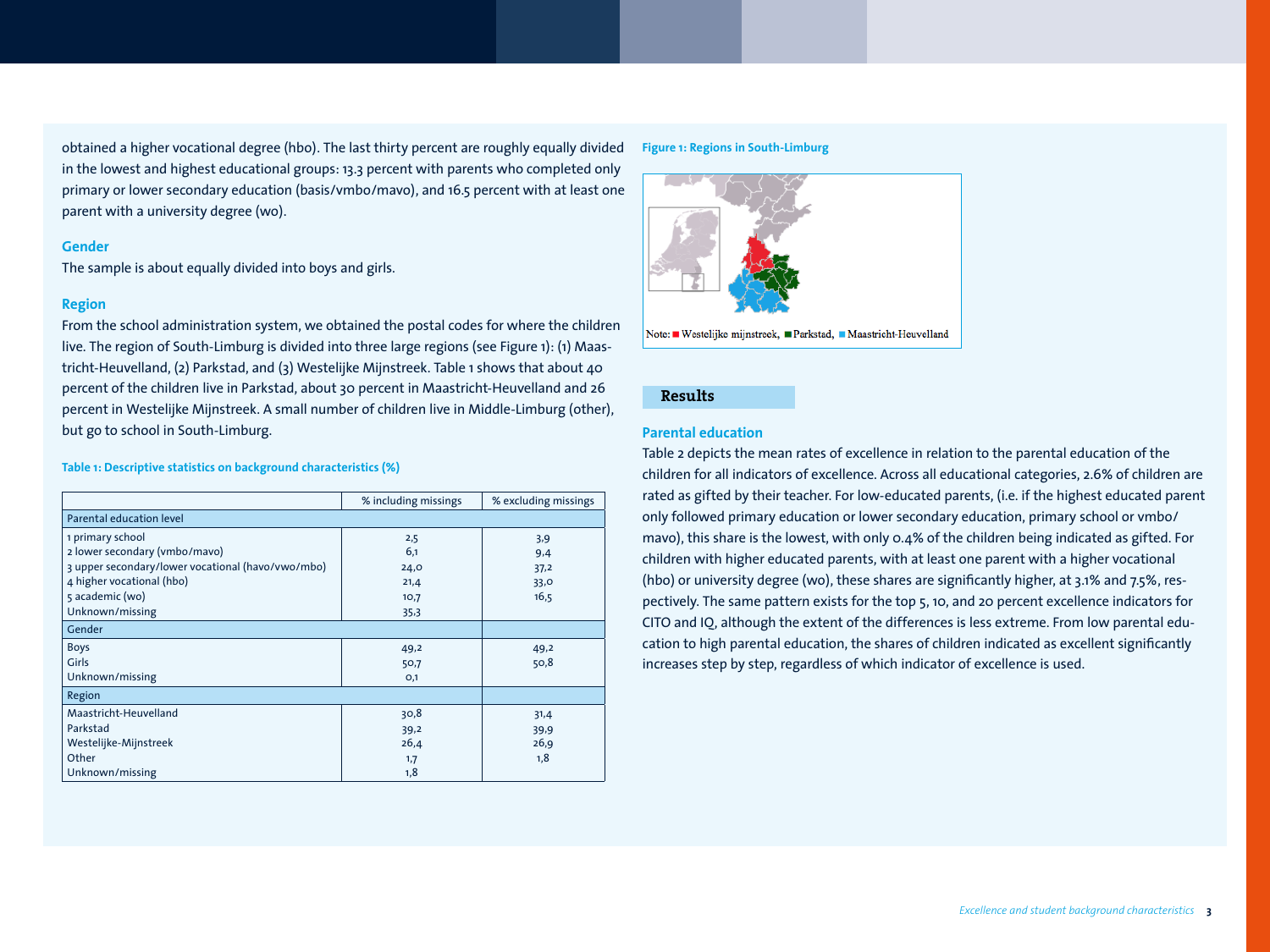obtained a higher vocational degree (hbo). The last thirty percent are roughly equally divided in the lowest and highest educational groups: 13.3 percent with parents who completed only primary or lower secondary education (basis/vmbo/mavo), and 16.5 percent with at least one parent with a university degree (wo).

## **Gender**

The sample is about equally divided into boys and girls.

## **Region**

From the school administration system, we obtained the postal codes for where the children live. The region of South-Limburg is divided into three large regions (see Figure 1): (1) Maastricht-Heuvelland, (2) Parkstad, and (3) Westelijke Mijnstreek. Table 1 shows that about 40 percent of the children live in Parkstad, about 30 percent in Maastricht-Heuvelland and 26 percent in Westelijke Mijnstreek. A small number of children live in Middle-Limburg (other), but go to school in South-Limburg.

## **Table 1: Descriptive statistics on background characteristics (%)**

|                                                   | % including missings | % excluding missings |
|---------------------------------------------------|----------------------|----------------------|
| Parental education level                          |                      |                      |
| 1 primary school                                  | 2,5                  | 3,9                  |
| 2 lower secondary (vmbo/mavo)                     | 6,1                  | 9,4                  |
| 3 upper secondary/lower vocational (havo/vwo/mbo) | 24,0                 | 37,2                 |
| 4 higher vocational (hbo)                         | 21,4                 | 33,0                 |
| 5 academic (wo)                                   | 10,7                 | 16,5                 |
| Unknown/missing                                   | 35,3                 |                      |
| Gender                                            |                      |                      |
| <b>Boys</b>                                       | 49,2                 | 49,2                 |
| Girls                                             | 50,7                 | 50,8                 |
| Unknown/missing                                   | O,1                  |                      |
| Region                                            |                      |                      |
| Maastricht-Heuvelland                             | 30,8                 | 31,4                 |
| Parkstad                                          | 39,2                 | 39,9                 |
| Westelijke-Mijnstreek                             | 26,4                 | 26,9                 |
| Other                                             | 1,7                  | 1,8                  |
| Unknown/missing                                   | 1,8                  |                      |

#### **Figure 1: Regions in South-Limburg**



Note: ■ Westelijke mijnstreek, ■ Parkstad, ■ Maastricht-Heuvelland

## **Results**

## **Parental education**

Table 2 depicts the mean rates of excellence in relation to the parental education of the children for all indicators of excellence. Across all educational categories, 2.6% of children are rated as gifted by their teacher. For low-educated parents, (i.e. if the highest educated parent only followed primary education or lower secondary education, primary school or vmbo/ mavo), this share is the lowest, with only 0.4% of the children being indicated as gifted. For children with higher educated parents, with at least one parent with a higher vocational (hbo) or university degree (wo), these shares are significantly higher, at 3.1% and 7.5%, respectively. The same pattern exists for the top 5, 10, and 20 percent excellence indicators for CITO and IQ, although the extent of the differences is less extreme. From low parental education to high parental education, the shares of children indicated as excellent significantly increases step by step, regardless of which indicator of excellence is used.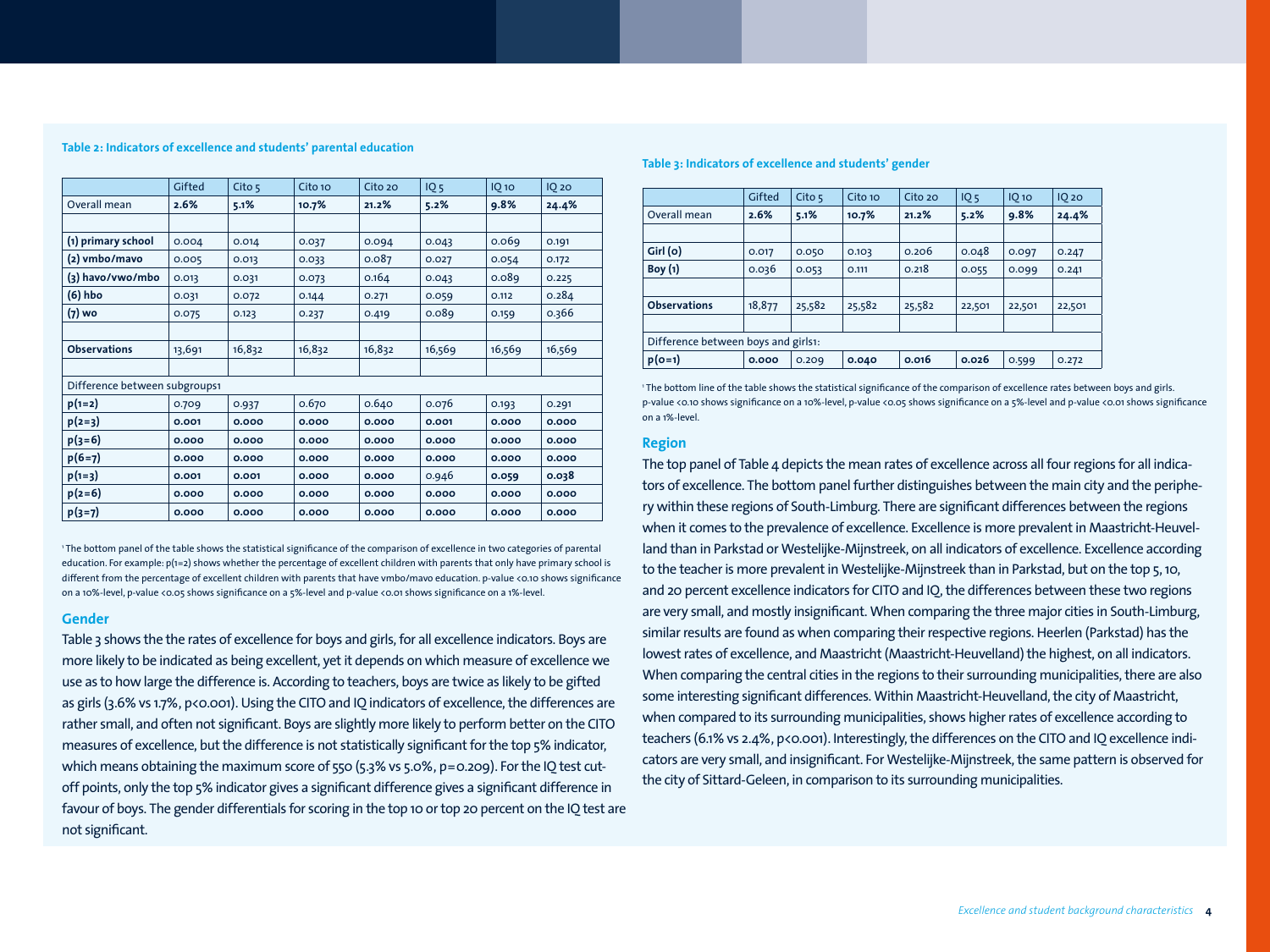#### **Table 2: Indicators of excellence and students' parental education**

|                               | Gifted | Cito $5$ | Cito 10 | Cito 20 | 10 <sub>5</sub> | IQ <sub>10</sub> | <b>IQ 20</b> |
|-------------------------------|--------|----------|---------|---------|-----------------|------------------|--------------|
| Overall mean                  | 2.6%   | 5.1%     | 10.7%   | 21.2%   | 5.2%            | 9.8%             | 24.4%        |
|                               |        |          |         |         |                 |                  |              |
| (1) primary school            | 0.004  | 0.014    | 0.037   | 0.094   | 0.043           | 0.069            | 0.191        |
| (2) vmbo/mavo                 | 0.005  | 0.013    | 0.033   | 0.087   | 0.027           | 0.054            | 0.172        |
| (3) havo/vwo/mbo              | 0.013  | 0.031    | 0.073   | 0.164   | 0.043           | 0.089            | 0.225        |
| $(6)$ hbo                     | 0.031  | 0.072    | 0.144   | 0.271   | 0.059           | 0.112            | 0.284        |
| (7) wo                        | 0.075  | 0.123    | 0.237   | 0.419   | 0.089           | 0.159            | 0.366        |
|                               |        |          |         |         |                 |                  |              |
| <b>Observations</b>           | 13,691 | 16,832   | 16,832  | 16,832  | 16,569          | 16,569           | 16,569       |
|                               |        |          |         |         |                 |                  |              |
| Difference between subgroups1 |        |          |         |         |                 |                  |              |
| $p(1=2)$                      | 0.709  | 0.937    | 0.670   | 0.640   | 0.076           | 0.193            | 0.291        |
| $p(2=3)$                      | 0.001  | 0.000    | 0.000   | 0.000   | 0.001           | 0.000            | 0.000        |
| $p(3=6)$                      | 0.000  | 0.000    | 0.000   | 0.000   | 0.000           | 0.000            | 0.000        |
| $p(6=7)$                      | 0.000  | 0.000    | 0.000   | 0.000   | 0.000           | 0.000            | 0.000        |
| $p(1=3)$                      | 0.001  | 0.001    | 0.000   | 0.000   | 0.946           | 0.059            | 0.038        |
| $p(2=6)$                      | 0.000  | 0.000    | 0.000   | 0.000   | 0.000           | 0.000            | 0.000        |
| $p(3=7)$                      | 0.000  | 0.000    | 0.000   | 0.000   | 0.000           | 0.000            | 0.000        |

1 The bottom panel of the table shows the statistical significance of the comparison of excellence in two categories of parental education. For example: p(1=2) shows whether the percentage of excellent children with parents that only have primary school is different from the percentage of excellent children with parents that have vmbo/mavo education. p-value <0.10 shows significance on a 10%-level, p-value <0.05 shows significance on a 5%-level and p-value <0.01 shows significance on a 1%-level.

## **Gender**

Table 3 shows the the rates of excellence for boys and girls, for all excellence indicators. Boys are more likely to be indicated as being excellent, yet it depends on which measure of excellence we use as to how large the difference is. According to teachers, boys are twice as likely to be gifted as girls (3.6% vs 1.7%, p<0.001). Using the CITO and IQ indicators of excellence, the differences are rather small, and often not significant. Boys are slightly more likely to perform better on the CITO measures of excellence, but the difference is not statistically significant for the top 5% indicator, which means obtaining the maximum score of 550 (5.3% vs 5.0%, p=0.209). For the IQ test cutoff points, only the top 5% indicator gives a significant difference gives a significant difference in favour of boys. The gender differentials for scoring in the top 10 or top 20 percent on the IQ test are not significant.

#### **Table 3: Indicators of excellence and students' gender**

|                                     | Gifted | Cito <sub>5</sub> | Cito 10 | Cito 20 | 10 <sub>5</sub> | $IO$ 10 | $IO$ 20 |  |
|-------------------------------------|--------|-------------------|---------|---------|-----------------|---------|---------|--|
| Overall mean                        | 2.6%   | 5.1%              | 10.7%   | 21.2%   | 5.2%            | 9.8%    | 24.4%   |  |
|                                     |        |                   |         |         |                 |         |         |  |
| Girl (o)                            | 0.017  | 0.050             | 0.103   | 0.206   | 0.048           | 0.097   | 0.247   |  |
| Boy(1)                              | 0.036  | 0.053             | 0.111   | 0.218   | 0.055           | 0.099   | 0.241   |  |
|                                     |        |                   |         |         |                 |         |         |  |
| <b>Observations</b>                 | 18,877 | 25,582            | 25,582  | 25,582  | 22,501          | 22,501  | 22,501  |  |
|                                     |        |                   |         |         |                 |         |         |  |
| Difference between boys and girls1: |        |                   |         |         |                 |         |         |  |
| $p(O=1)$                            | 0.000  | 0.209             | 0.040   | 0.016   | 0.026           | 0.599   | 0.272   |  |

1 The bottom line of the table shows the statistical significance of the comparison of excellence rates between boys and girls. p-value <0.10 shows significance on a 10%-level, p-value <0.05 shows significance on a 5%-level and p-value <0.01 shows significance on a 1%-level.

#### **Region**

The top panel of Table 4 depicts the mean rates of excellence across all four regions for all indicators of excellence. The bottom panel further distinguishes between the main city and the periphery within these regions of South-Limburg. There are significant differences between the regions when it comes to the prevalence of excellence. Excellence is more prevalent in Maastricht-Heuvelland than in Parkstad or Westelijke-Mijnstreek, on all indicators of excellence. Excellence according to the teacher is more prevalent in Westelijke-Mijnstreek than in Parkstad, but on the top 5, 10, and 20 percent excellence indicators for CITO and IQ, the differences between these two regions are very small, and mostly insignificant. When comparing the three major cities in South-Limburg, similar results are found as when comparing their respective regions. Heerlen (Parkstad) has the lowest rates of excellence, and Maastricht (Maastricht-Heuvelland) the highest, on all indicators. When comparing the central cities in the regions to their surrounding municipalities, there are also some interesting significant differences. Within Maastricht-Heuvelland, the city of Maastricht, when compared to its surrounding municipalities, shows higher rates of excellence according to teachers (6.1% vs 2.4%, p<0.001). Interestingly, the differences on the CITO and IQ excellence indicators are very small, and insignificant. For Westelijke-Mijnstreek, the same pattern is observed for the city of Sittard-Geleen, in comparison to its surrounding municipalities.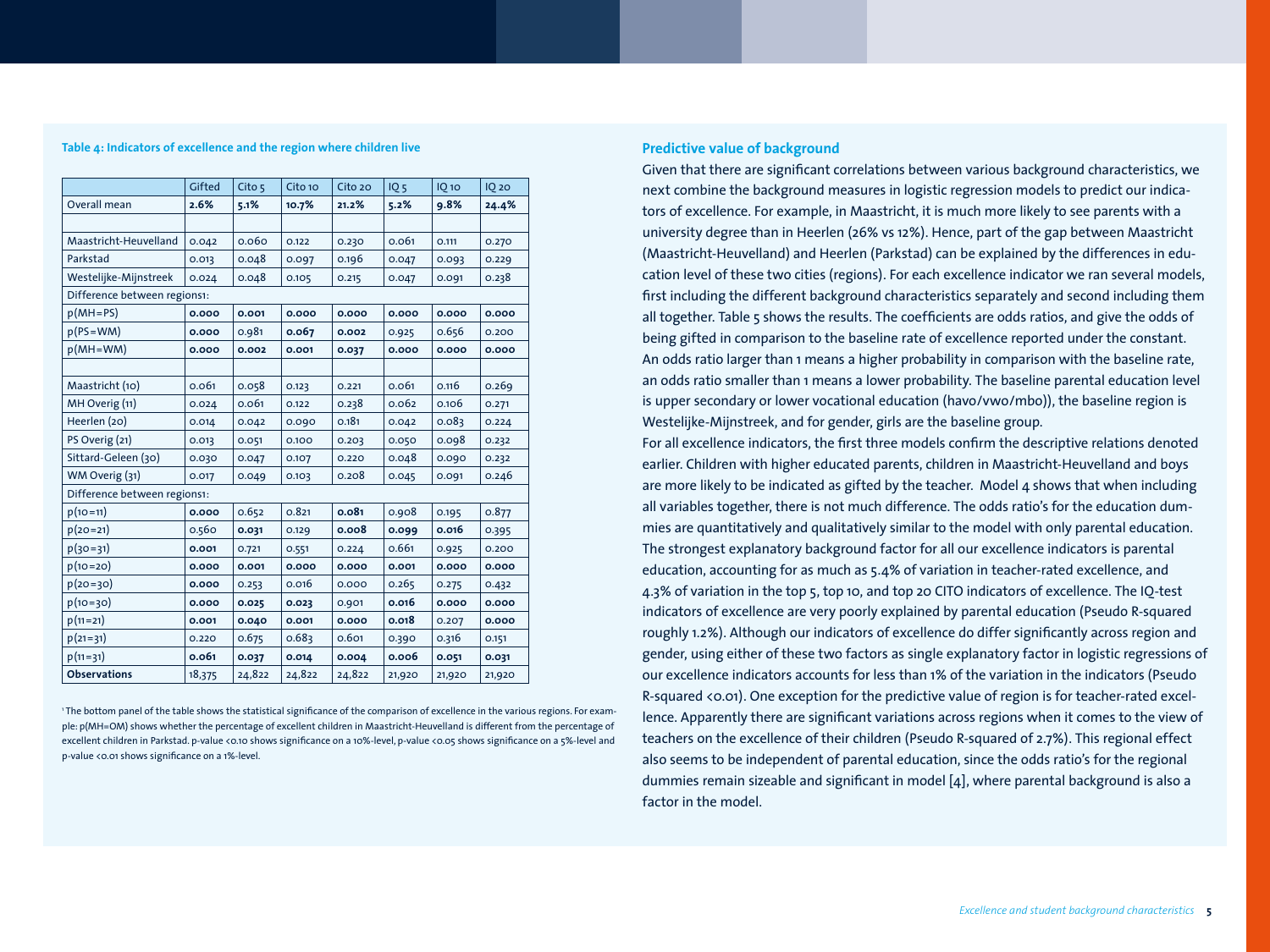#### **Table 4: Indicators of excellence and the region where children live**

|                              | Gifted | Cito 5 | Cito 10 | Cito 20 | IQ <sub>5</sub> | $IQ$ 10 | <b>IQ 20</b> |
|------------------------------|--------|--------|---------|---------|-----------------|---------|--------------|
| Overall mean                 | 2.6%   | 5.1%   | 10.7%   | 21.2%   | 5.2%            | 9.8%    | 24.4%        |
|                              |        |        |         |         |                 |         |              |
| Maastricht-Heuvelland        | 0.042  | 0.060  | 0.122   | 0.230   | 0.061           | 0.111   | 0.270        |
| Parkstad                     | 0.013  | 0.048  | 0.097   | 0.196   | 0.047           | 0.093   | 0.229        |
| Westelijke-Mijnstreek        | 0.024  | 0.048  | 0.105   | 0.215   | 0.047           | 0.091   | 0.238        |
| Difference between regions1: |        |        |         |         |                 |         |              |
| $p(MH=PS)$                   | 0.000  | 0.001  | 0.000   | 0.000   | 0.000           | 0.000   | 0.000        |
| $p(PS=WM)$                   | 0.000  | 0.981  | 0.067   | 0.002   | 0.925           | 0.656   | 0.200        |
| $p(MH=WM)$                   | 0.000  | 0.002  | 0.001   | 0.037   | 0.000           | 0.000   | 0.000        |
|                              |        |        |         |         |                 |         |              |
| Maastricht (10)              | 0.061  | 0.058  | 0.123   | 0.221   | 0.061           | 0.116   | 0.269        |
| MH Overig (11)               | 0.024  | 0.061  | 0.122   | 0.238   | 0.062           | 0.106   | 0.271        |
| Heerlen (20)                 | 0.014  | 0.042  | 0.090   | 0.181   | 0.042           | 0.083   | 0.224        |
| PS Overig (21)               | 0.013  | 0.051  | 0.100   | 0.203   | 0.050           | 0.098   | 0.232        |
| Sittard-Geleen (30)          | 0.030  | 0.047  | 0.107   | 0.220   | 0.048           | 0.090   | 0.232        |
| WM Overig (31)               | 0.017  | 0.049  | 0.103   | 0.208   | 0.045           | 0.091   | 0.246        |
| Difference between regions1: |        |        |         |         |                 |         |              |
| $p(10=11)$                   | 0.000  | 0.652  | 0.821   | 0.081   | 0.908           | 0.195   | 0.877        |
| $p(20=21)$                   | 0.560  | 0.031  | 0.129   | 0.008   | 0.099           | 0.016   | 0.395        |
| $p(30=31)$                   | 0.001  | 0.721  | 0.551   | 0.224   | 0.661           | 0.925   | 0.200        |
| $p(10=20)$                   | 0.000  | 0.001  | 0.000   | 0.000   | 0.001           | 0.000   | 0.000        |
| $p(20=30)$                   | 0.000  | 0.253  | 0.016   | 0.000   | 0.265           | 0.275   | 0.432        |
| $p(10=30)$                   | 0.000  | 0.025  | 0.023   | 0.901   | 0.016           | 0.000   | 0.000        |
| $p(11=21)$                   | 0.001  | 0.040  | 0.001   | 0.000   | 0.018           | 0.207   | 0.000        |
| $p(21=31)$                   | 0.220  | 0.675  | 0.683   | 0.601   | 0.390           | 0.316   | 0.151        |
| $p(11=31)$                   | 0.061  | 0.037  | 0.014   | 0.004   | 0.006           | 0.051   | 0.031        |
| <b>Observations</b>          | 18,375 | 24,822 | 24,822  | 24,822  | 21,920          | 21,920  | 21,920       |

1 The bottom panel of the table shows the statistical significance of the comparison of excellence in the various regions. For example: p(MH=OM) shows whether the percentage of excellent children in Maastricht-Heuvelland is different from the percentage of excellent children in Parkstad. p-value <0.10 shows significance on a 10%-level, p-value <0.05 shows significance on a 5%-level and p-value <0.01 shows significance on a 1%-level.

## **Predictive value of background**

Given that there are significant correlations between various background characteristics, we next combine the background measures in logistic regression models to predict our indicators of excellence. For example, in Maastricht, it is much more likely to see parents with a university degree than in Heerlen (26% vs 12%). Hence, part of the gap between Maastricht (Maastricht-Heuvelland) and Heerlen (Parkstad) can be explained by the differences in education level of these two cities (regions). For each excellence indicator we ran several models, first including the different background characteristics separately and second including them all together. Table 5 shows the results. The coefficients are odds ratios, and give the odds of being gifted in comparison to the baseline rate of excellence reported under the constant. An odds ratio larger than 1 means a higher probability in comparison with the baseline rate, an odds ratio smaller than 1 means a lower probability. The baseline parental education level is upper secondary or lower vocational education (havo/vwo/mbo)), the baseline region is Westelijke-Mijnstreek, and for gender, girls are the baseline group.

For all excellence indicators, the first three models confirm the descriptive relations denoted earlier. Children with higher educated parents, children in Maastricht-Heuvelland and boys are more likely to be indicated as gifted by the teacher. Model 4 shows that when including all variables together, there is not much difference. The odds ratio's for the education dummies are quantitatively and qualitatively similar to the model with only parental education. The strongest explanatory background factor for all our excellence indicators is parental education, accounting for as much as 5.4% of variation in teacher-rated excellence, and 4.3% of variation in the top 5, top 10, and top 20 CITO indicators of excellence. The IQ-test indicators of excellence are very poorly explained by parental education (Pseudo R-squared roughly 1.2%). Although our indicators of excellence do differ significantly across region and gender, using either of these two factors as single explanatory factor in logistic regressions of our excellence indicators accounts for less than 1% of the variation in the indicators (Pseudo R-squared <0.01). One exception for the predictive value of region is for teacher-rated excellence. Apparently there are significant variations across regions when it comes to the view of teachers on the excellence of their children (Pseudo R-squared of 2.7%). This regional effect also seems to be independent of parental education, since the odds ratio's for the regional dummies remain sizeable and significant in model [4], where parental background is also a factor in the model.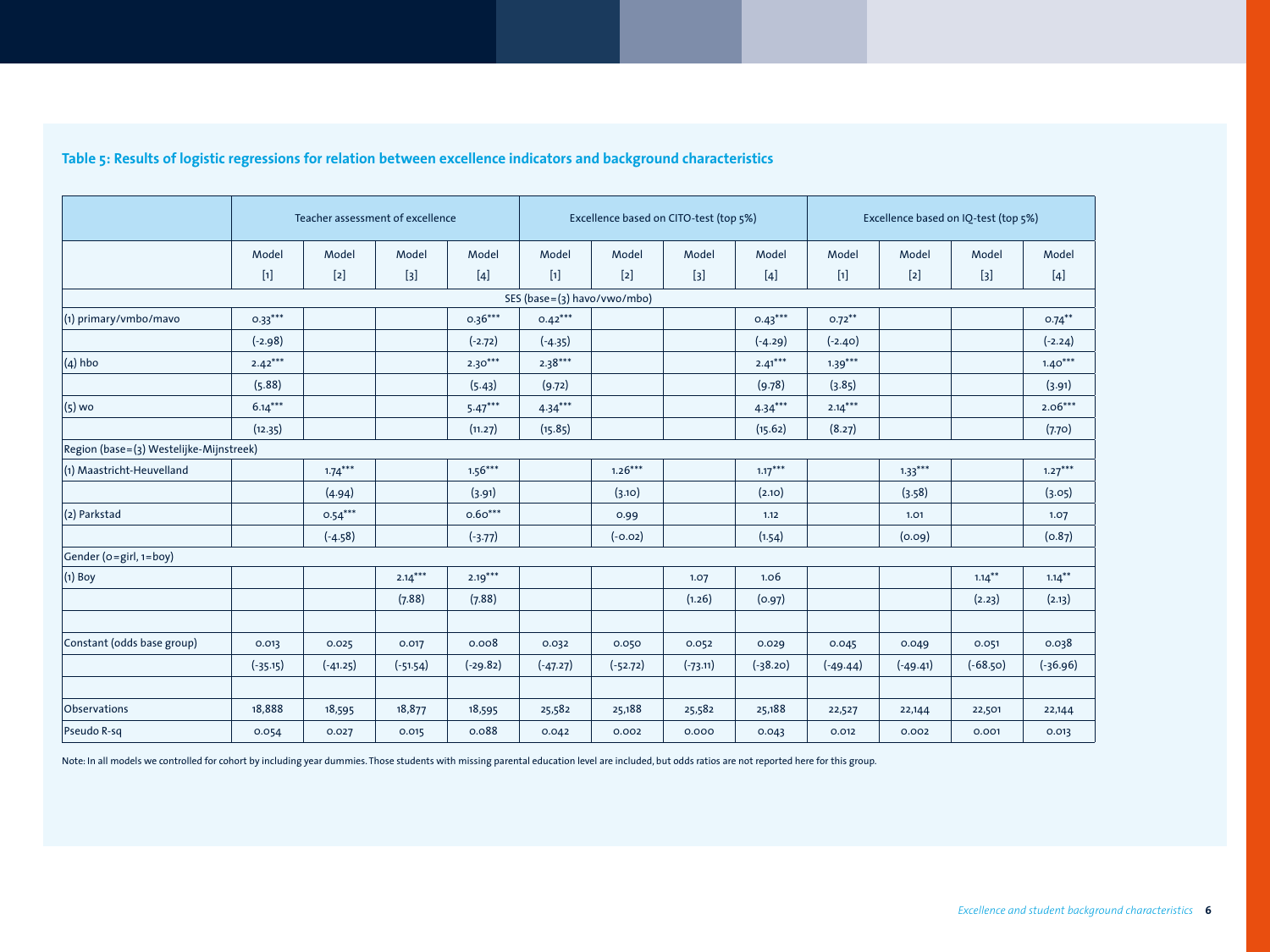|                                         |            | Teacher assessment of excellence |            |            | Excellence based on CITO-test (top 5%) |            |            | Excellence based on IQ-test (top 5%) |            |            |            |            |
|-----------------------------------------|------------|----------------------------------|------------|------------|----------------------------------------|------------|------------|--------------------------------------|------------|------------|------------|------------|
|                                         | Model      | Model                            | Model      | Model      | Model                                  | Model      | Model      | Model                                | Model      | Model      | Model      | Model      |
|                                         | $[1]$      | $[2]$                            | $[3]$      | $[4]$      | $[1]$                                  | $[2]$      | $[3]$      | $[4]$                                | $[1]$      | $[2]$      | $[3]$      | $[4]$      |
|                                         |            |                                  |            |            | SES (base=(3) havo/vwo/mbo)            |            |            |                                      |            |            |            |            |
| $(1)$ primary/vmbo/mavo                 | $0.33***$  |                                  |            | $0.36***$  | $0.42***$                              |            |            | $0.43***$                            | $0.72***$  |            |            | $0.74***$  |
|                                         | $(-2.98)$  |                                  |            | $(-2.72)$  | $(-4.35)$                              |            |            | $(-4.29)$                            | $(-2.40)$  |            |            | $(-2.24)$  |
| $(4)$ hbo                               | $2.42***$  |                                  |            | $2.30***$  | $2.38***$                              |            |            | $2.41***$                            | $1.39***$  |            |            | $1.40***$  |
|                                         | (5.88)     |                                  |            | (5.43)     | (9.72)                                 |            |            | (9.78)                               | (3.85)     |            |            | (3.91)     |
| $(5)$ wo                                | $6.14***$  |                                  |            | $5.47***$  | $4.34***$                              |            |            | $4.34***$                            | $2.14***$  |            |            | $2.06***$  |
|                                         | (12.35)    |                                  |            | (11.27)    | (15.85)                                |            |            | (15.62)                              | (8.27)     |            |            | (7.70)     |
| Region (base=(3) Westelijke-Mijnstreek) |            |                                  |            |            |                                        |            |            |                                      |            |            |            |            |
| $(1)$ Maastricht-Heuvelland             |            | $1.74***$                        |            | $1.56***$  |                                        | $1.26***$  |            | $1.17***$                            |            | $1.33***$  |            | $1.27***$  |
|                                         |            | (4.94)                           |            | (3.91)     |                                        | (3.10)     |            | (2.10)                               |            | (3.58)     |            | (3.05)     |
| $(2)$ Parkstad                          |            | $0.54***$                        |            | $0.60***$  |                                        | 0.99       |            | 1.12                                 |            | 1.01       |            | 1.07       |
|                                         |            | $(-4.58)$                        |            | $(-3.77)$  |                                        | $(-0.02)$  |            | (1.54)                               |            | (0.09)     |            | (0.87)     |
| Gender ( $o=$ girl, $1=$ boy)           |            |                                  |            |            |                                        |            |            |                                      |            |            |            |            |
| $(1)$ Boy                               |            |                                  | $2.14***$  | $2.19***$  |                                        |            | 1.07       | 1.06                                 |            |            | $1.14***$  | $1.14***$  |
|                                         |            |                                  | (7.88)     | (7.88)     |                                        |            | (1.26)     | (0.97)                               |            |            | (2.23)     | (2.13)     |
|                                         |            |                                  |            |            |                                        |            |            |                                      |            |            |            |            |
| Constant (odds base group)              | 0.013      | 0.025                            | 0.017      | 0.008      | 0.032                                  | 0.050      | 0.052      | 0.029                                | 0.045      | 0.049      | 0.051      | 0.038      |
|                                         | $(-35.15)$ | $(-41.25)$                       | $(-51.54)$ | $(-29.82)$ | $(-47.27)$                             | $(-52.72)$ | $(-73.11)$ | $(-38.20)$                           | $(-49.44)$ | $(-49.41)$ | $(-68.50)$ | $(-36.96)$ |
|                                         |            |                                  |            |            |                                        |            |            |                                      |            |            |            |            |
| Observations                            | 18,888     | 18,595                           | 18,877     | 18,595     | 25,582                                 | 25,188     | 25,582     | 25,188                               | 22,527     | 22,144     | 22,501     | 22,144     |
| Pseudo R-sq                             | 0.054      | 0.027                            | 0.015      | 0.088      | 0.042                                  | 0.002      | 0.000      | 0.043                                | 0.012      | 0.002      | 0.001      | 0.013      |

## **Table 5: Results of logistic regressions for relation between excellence indicators and background characteristics**

Note: In all models we controlled for cohort by including year dummies. Those students with missing parental education level are included, but odds ratios are not reported here for this group.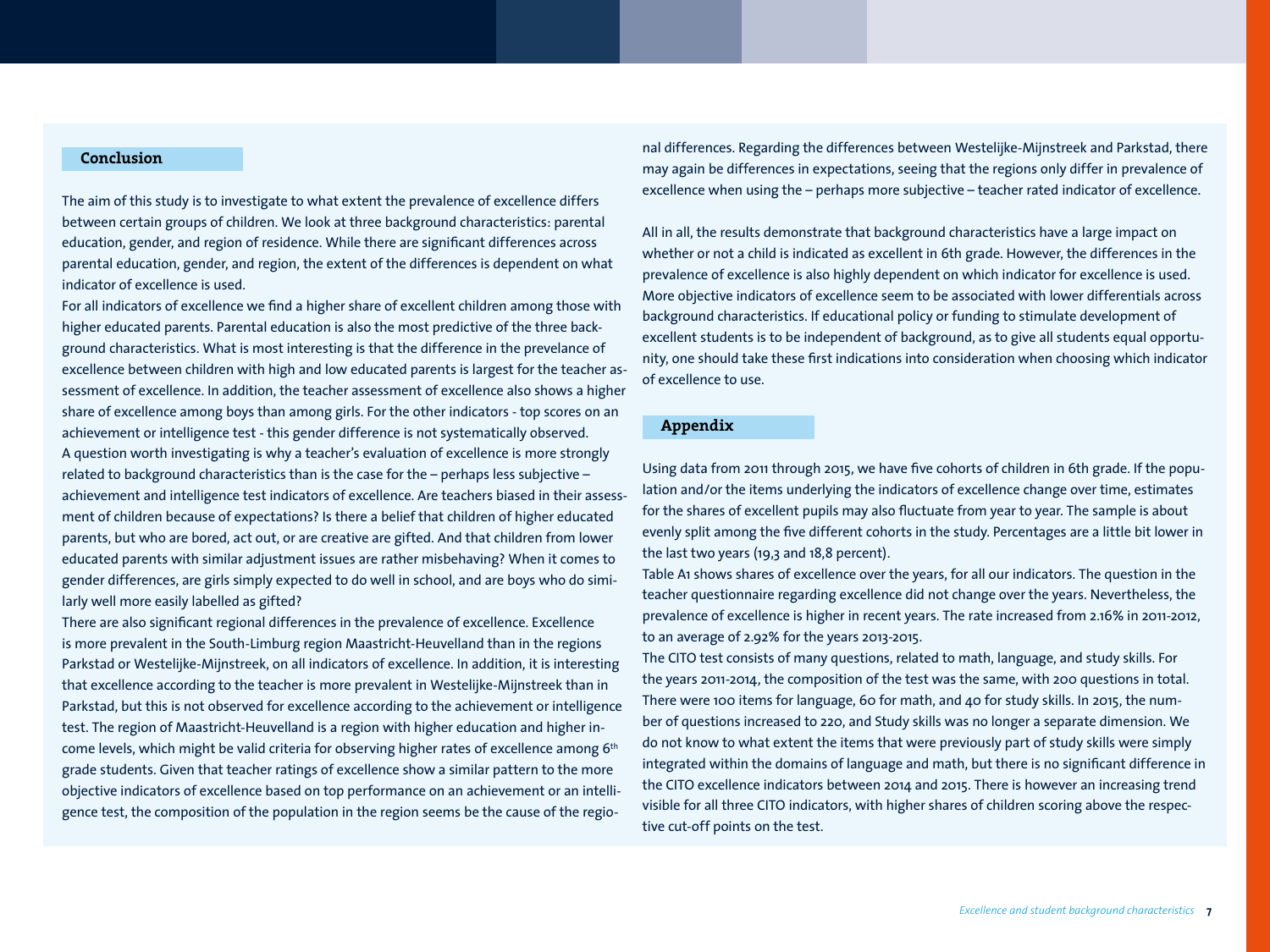## **Conclusion**

The aim of this study is to investigate to what extent the prevalence of excellence differs between certain groups of children. We look at three background characteristics: parental education, gender, and region of residence. While there are significant differences across parental education, gender, and region, the extent of the differences is dependent on what indicator of excellence is used.

For all indicators of excellence we find a higher share of excellent children among those with higher educated parents. Parental education is also the most predictive of the three background characteristics. What is most interesting is that the difference in the prevelance of excellence between children with high and low educated parents is largest for the teacher assessment of excellence. In addition, the teacher assessment of excellence also shows a higher share of excellence among boys than among girls. For the other indicators - top scores on an achievement or intelligence test - this gender difference is not systematically observed. A question worth investigating is why a teacher's evaluation of excellence is more strongly related to background characteristics than is the case for the – perhaps less subjective – achievement and intelligence test indicators of excellence. Are teachers biased in their assessment of children because of expectations? Is there a belief that children of higher educated parents, but who are bored, act out, or are creative are gifted. And that children from lower educated parents with similar adjustment issues are rather misbehaving? When it comes to gender differences, are girls simply expected to do well in school, and are boys who do similarly well more easily labelled as gifted?

There are also significant regional differences in the prevalence of excellence. Excellence is more prevalent in the South-Limburg region Maastricht-Heuvelland than in the regions Parkstad or Westelijke-Mijnstreek, on all indicators of excellence. In addition, it is interesting that excellence according to the teacher is more prevalent in Westelijke-Mijnstreek than in Parkstad, but this is not observed for excellence according to the achievement or intelligence test. The region of Maastricht-Heuvelland is a region with higher education and higher income levels, which might be valid criteria for observing higher rates of excellence among 6<sup>th</sup> grade students. Given that teacher ratings of excellence show a similar pattern to the more objective indicators of excellence based on top performance on an achievement or an intelligence test, the composition of the population in the region seems be the cause of the regional differences. Regarding the differences between Westelijke-Mijnstreek and Parkstad, there may again be differences in expectations, seeing that the regions only differ in prevalence of excellence when using the – perhaps more subjective – teacher rated indicator of excellence.

All in all, the results demonstrate that background characteristics have a large impact on whether or not a child is indicated as excellent in 6th grade. However, the differences in the prevalence of excellence is also highly dependent on which indicator for excellence is used. More objective indicators of excellence seem to be associated with lower differentials across background characteristics. If educational policy or funding to stimulate development of excellent students is to be independent of background, as to give all students equal opportunity, one should take these first indications into consideration when choosing which indicator of excellence to use.

## **Appendix**

Using data from 2011 through 2015, we have five cohorts of children in 6th grade. If the population and/or the items underlying the indicators of excellence change over time, estimates for the shares of excellent pupils may also fluctuate from year to year. The sample is about evenly split among the five different cohorts in the study. Percentages are a little bit lower in the last two years (19,3 and 18,8 percent).

Table A1 shows shares of excellence over the years, for all our indicators. The question in the teacher questionnaire regarding excellence did not change over the years. Nevertheless, the prevalence of excellence is higher in recent years. The rate increased from 2.16% in 2011-2012, to an average of 2.92% for the years 2013-2015.

The CITO test consists of many questions, related to math, language, and study skills. For the years 2011-2014, the composition of the test was the same, with 200 questions in total. There were 100 items for language, 60 for math, and 40 for study skills. In 2015, the number of questions increased to 220, and Study skills was no longer a separate dimension. We do not know to what extent the items that were previously part of study skills were simply integrated within the domains of language and math, but there is no significant difference in the CITO excellence indicators between 2014 and 2015. There is however an increasing trend visible for all three CITO indicators, with higher shares of children scoring above the respective cut-off points on the test.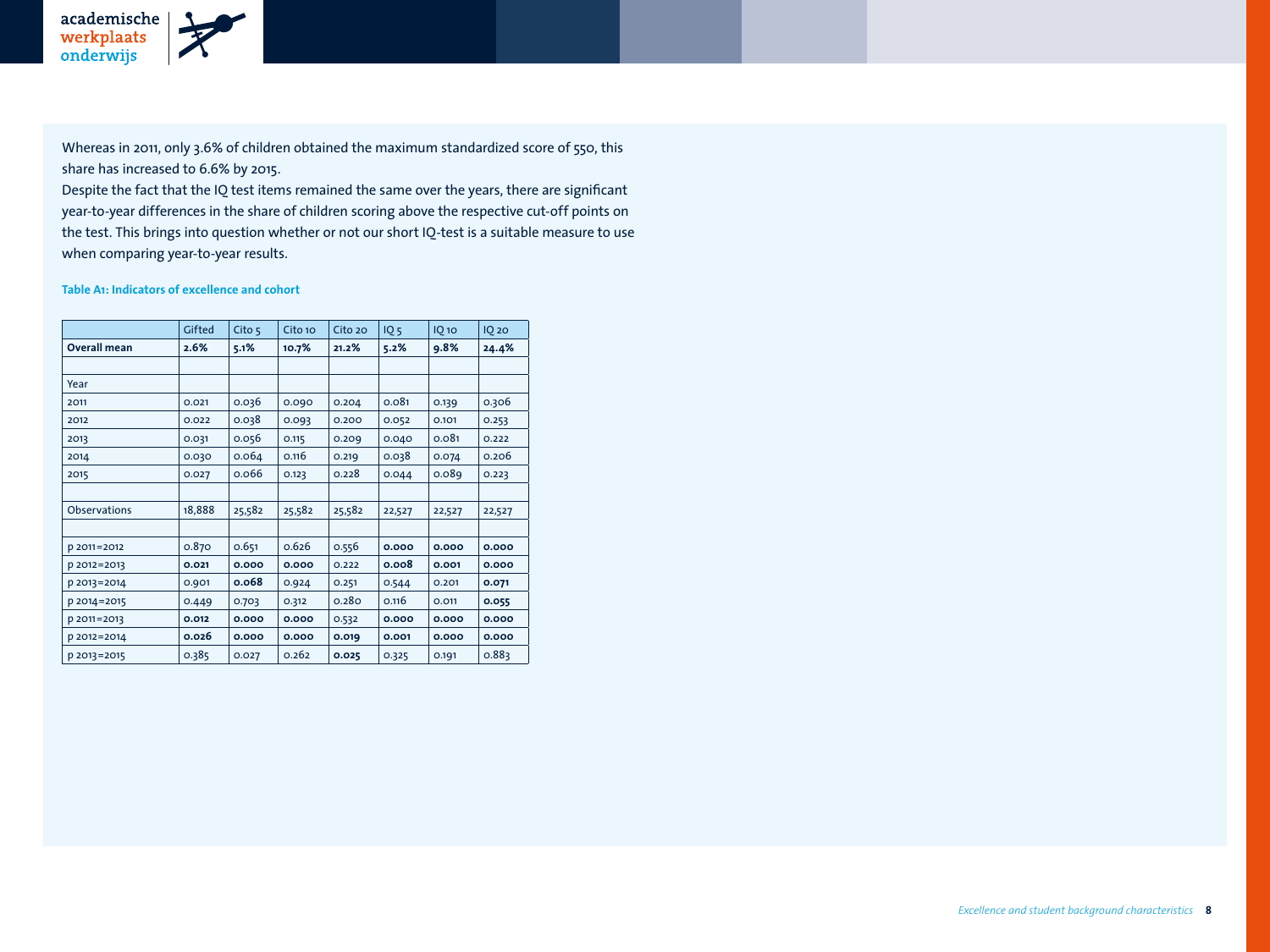Whereas in 2011, only 3.6% of children obtained the maximum standardized score of 550, this share has increased to 6.6% by 2015.

Despite the fact that the IQ test items remained the same over the years, there are significant year-to-year differences in the share of children scoring above the respective cut-off points on the test. This brings into question whether or not our short IQ-test is a suitable measure to use when comparing year-to-year results.

## **Table A1: Indicators of excellence and cohort**

|                     | Gifted | Cito $5$ | Cito 10 | Cito 20 | IQ <sub>5</sub> | $IQ$ 10 | <b>IQ 20</b> |
|---------------------|--------|----------|---------|---------|-----------------|---------|--------------|
| <b>Overall mean</b> | 2.6%   | 5.1%     | 10.7%   | 21.2%   | 5.2%            | 9.8%    | 24.4%        |
|                     |        |          |         |         |                 |         |              |
| Year                |        |          |         |         |                 |         |              |
| 2011                | 0.021  | 0.036    | 0.090   | 0.204   | 0.081           | 0.139   | 0.306        |
| 2012                | 0.022  | 0.038    | 0.093   | 0.200   | 0.052           | 0.101   | 0.253        |
| 2013                | 0.031  | 0.056    | 0.115   | 0.209   | 0.040           | 0.081   | 0.222        |
| 2014                | 0.030  | 0.064    | 0.116   | 0.219   | 0.038           | 0.074   | 0.206        |
| 2015                | 0.027  | 0.066    | 0.123   | 0.228   | 0.044           | 0.089   | 0.223        |
|                     |        |          |         |         |                 |         |              |
| <b>Observations</b> | 18,888 | 25,582   | 25,582  | 25,582  | 22,527          | 22,527  | 22,527       |
|                     |        |          |         |         |                 |         |              |
| p 2011=2012         | 0.870  | 0.651    | 0.626   | 0.556   | 0.000           | 0.000   | 0.000        |
| p 2012=2013         | 0.021  | 0.000    | 0.000   | 0.222   | 0.008           | 0.001   | 0.000        |
| p 2013=2014         | 0.901  | 0.068    | 0.924   | 0.251   | 0.544           | 0.201   | 0.071        |
| p 2014=2015         | 0.449  | 0.703    | 0.312   | 0.280   | 0.116           | 0.011   | 0.055        |
| p 2011=2013         | 0.012  | 0.000    | 0.000   | 0.532   | 0.000           | 0.000   | 0.000        |
| p 2012=2014         | 0.026  | 0.000    | 0.000   | 0.019   | 0.001           | 0.000   | 0.000        |
| p 2013=2015         | 0.385  | 0.027    | 0.262   | 0.025   | 0.325           | 0.191   | 0.883        |